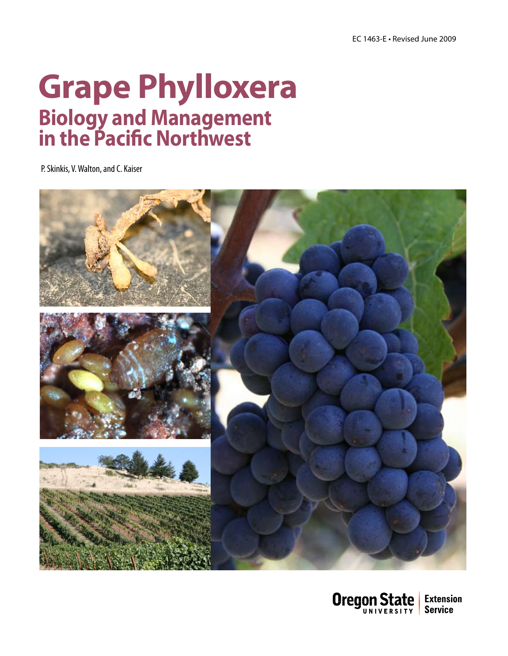### **Grape Phylloxera Biology and Management in the Pacific Northwest**

P. Skinkis, V. Walton, and C. Kaiser



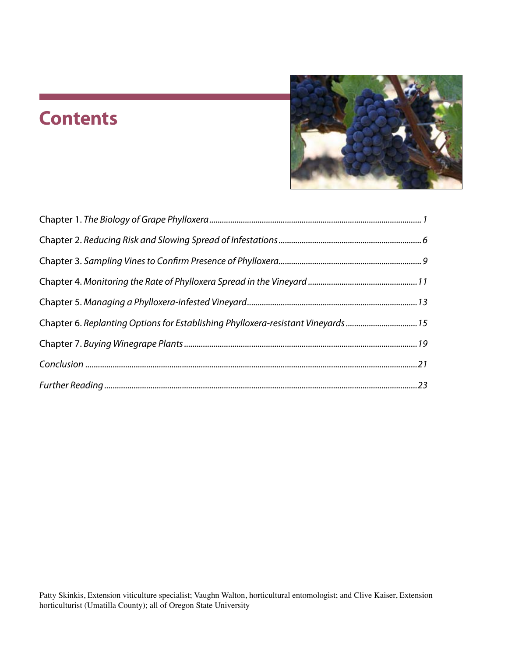### **Contents**



| Chapter 6. Replanting Options for Establishing Phylloxera-resistant Vineyards 15 |  |
|----------------------------------------------------------------------------------|--|
|                                                                                  |  |
|                                                                                  |  |
|                                                                                  |  |
|                                                                                  |  |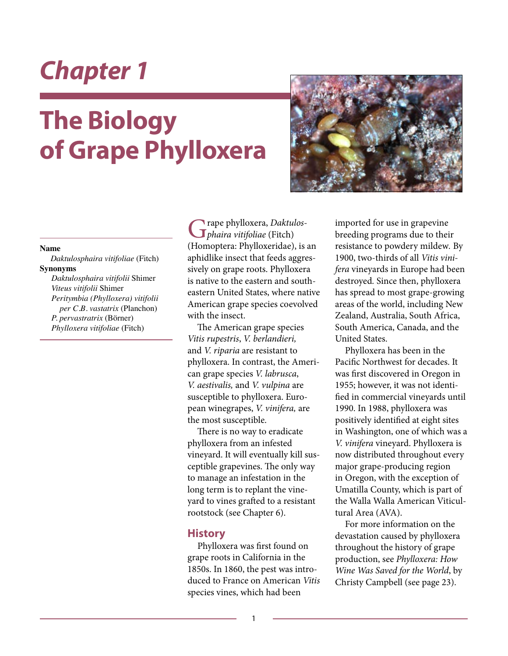# **The Biology of Grape Phylloxera**



#### **Name**

*Daktulosphaira vitifoliae* (Fitch) **Synonyms**

*Daktulosphaira vitifolii* Shimer *Viteus vitifolii* Shimer *Peritymbia (Phylloxera) vitifolii per C.B. vastatrix* (Planchon) *P. pervastratrix* (Börner) *Phylloxera vitifoliae* (Fitch)

rape phylloxera, *Daktulosphaira vitifoliae* (Fitch) (Homoptera: Phylloxeridae), is an aphidlike insect that feeds aggressively on grape roots. Phylloxera is native to the eastern and southeastern United States, where native American grape species coevolved with the insect.

The American grape species *Vitis rupestris*, *V. berlandieri,*  and *V. riparia* are resistant to phylloxera. In contrast, the American grape species *V. labrusca*, *V. aestivalis,* and *V. vulpina* are susceptible to phylloxera. European winegrapes, *V. vinifera,* are the most susceptible.

There is no way to eradicate phylloxera from an infested vineyard. It will eventually kill susceptible grapevines. The only way to manage an infestation in the long term is to replant the vineyard to vines grafted to a resistant rootstock (see Chapter 6).

#### **History**

Phylloxera was first found on grape roots in California in the 1850s. In 1860, the pest was introduced to France on American *Vitis* species vines, which had been

imported for use in grapevine breeding programs due to their resistance to powdery mildew*.* By 1900, two-thirds of all *Vitis vinifera* vineyards in Europe had been destroyed*.* Since then, phylloxera has spread to most grape-growing areas of the world, including New Zealand, Australia, South Africa, South America, Canada, and the United States.

Phylloxera has been in the Pacific Northwest for decades. It was first discovered in Oregon in 1955; however, it was not identified in commercial vineyards until 1990. In 1988, phylloxera was positively identified at eight sites in Washington, one of which was a *V. vinifera* vineyard. Phylloxera is now distributed throughout every major grape-producing region in Oregon, with the exception of Umatilla County, which is part of the Walla Walla American Viticultural Area (AVA).

For more information on the devastation caused by phylloxera throughout the history of grape production, see *Phylloxera: How Wine Was Saved for the World*, by Christy Campbell (see page 23).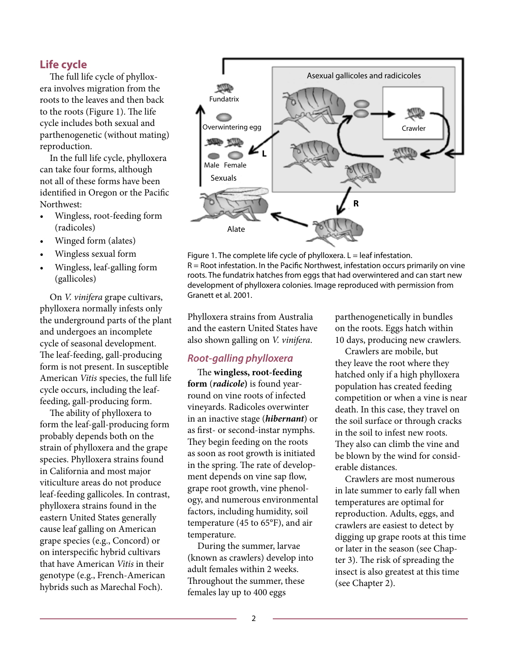### **Life cycle**

The full life cycle of phylloxera involves migration from the roots to the leaves and then back to the roots (Figure 1). The life cycle includes both sexual and parthenogenetic (without mating) reproduction.

In the full life cycle, phylloxera can take four forms, although not all of these forms have been identified in Oregon or the Pacific Northwest:

- • Wingless, root-feeding form (radicoles)
- Winged form (alates)
- Wingless sexual form
- Wingless, leaf-galling form (gallicoles)

On *V. vinifera* grape cultivars, phylloxera normally infests only the underground parts of the plant and undergoes an incomplete cycle of seasonal development. The leaf-feeding, gall-producing form is not present. In susceptible American *Vitis* species, the full life cycle occurs, including the leaffeeding, gall-producing form.

The ability of phylloxera to form the leaf-gall-producing form probably depends both on the strain of phylloxera and the grape species. Phylloxera strains found in California and most major viticulture areas do not produce leaf-feeding gallicoles. In contrast, phylloxera strains found in the eastern United States generally cause leaf galling on American grape species (e.g., Concord) or on interspecific hybrid cultivars that have American *Vitis* in their genotype (e.g., French-American hybrids such as Marechal Foch).



Figure 1. The complete life cycle of phylloxera.  $L =$  leaf infestation. R = Root infestation. In the Pacific Northwest, infestation occurs primarily on vine roots. The fundatrix hatches from eggs that had overwintered and can start new development of phylloxera colonies. Image reproduced with permission from Granett et al. 2001.

Phylloxera strains from Australia and the eastern United States have also shown galling on *V. vinifera*.

### *Root-galling phylloxera*

The **wingless, root-feeding form** (*radicole***)** is found yearround on vine roots of infected vineyards. Radicoles overwinter in an inactive stage (*hibernant*) or as first- or second-instar nymphs. They begin feeding on the roots as soon as root growth is initiated in the spring. The rate of development depends on vine sap flow, grape root growth, vine phenology, and numerous environmental factors, including humidity, soil temperature (45 to 65°F), and air temperature.

During the summer, larvae (known as crawlers) develop into adult females within 2 weeks. Throughout the summer, these females lay up to 400 eggs

parthenogenetically in bundles on the roots. Eggs hatch within 10 days, producing new crawlers.

Crawlers are mobile, but they leave the root where they hatched only if a high phylloxera population has created feeding competition or when a vine is near death. In this case, they travel on the soil surface or through cracks in the soil to infest new roots. They also can climb the vine and be blown by the wind for considerable distances.

Crawlers are most numerous in late summer to early fall when temperatures are optimal for reproduction. Adults, eggs, and crawlers are easiest to detect by digging up grape roots at this time or later in the season (see Chapter 3). The risk of spreading the insect is also greatest at this time (see Chapter 2).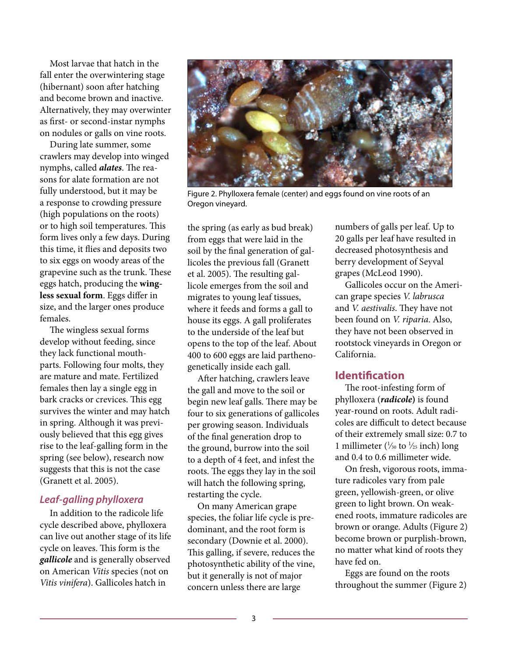Most larvae that hatch in the fall enter the overwintering stage (hibernant) soon after hatching and become brown and inactive. Alternatively, they may overwinter as first- or second-instar nymphs on nodules or galls on vine roots.

During late summer, some crawlers may develop into winged nymphs, called *alates*. The reasons for alate formation are not fully understood, but it may be a response to crowding pressure (high populations on the roots) or to high soil temperatures. This form lives only a few days. During this time, it flies and deposits two to six eggs on woody areas of the grapevine such as the trunk. These eggs hatch, producing the **wingless sexual form**. Eggs differ in size, and the larger ones produce females.

The wingless sexual forms develop without feeding, since they lack functional mouthparts. Following four molts, they are mature and mate. Fertilized females then lay a single egg in bark cracks or crevices. This egg survives the winter and may hatch in spring. Although it was previously believed that this egg gives rise to the leaf-galling form in the spring (see below), research now suggests that this is not the case (Granett et al. 2005).

### *Leaf-galling phylloxera*

In addition to the radicole life cycle described above, phylloxera can live out another stage of its life cycle on leaves. This form is the *gallicole* and is generally observed on American *Vitis* species (not on *Vitis vinifera*). Gallicoles hatch in



Figure 2. Phylloxera female (center) and eggs found on vine roots of an Oregon vineyard.

the spring (as early as bud break) from eggs that were laid in the soil by the final generation of gallicoles the previous fall (Granett et al. 2005). The resulting gallicole emerges from the soil and migrates to young leaf tissues, where it feeds and forms a gall to house its eggs. A gall proliferates to the underside of the leaf but opens to the top of the leaf. About 400 to 600 eggs are laid parthenogenetically inside each gall.

After hatching, crawlers leave the gall and move to the soil or begin new leaf galls. There may be four to six generations of gallicoles per growing season. Individuals of the final generation drop to the ground, burrow into the soil to a depth of 4 feet, and infest the roots. The eggs they lay in the soil will hatch the following spring, restarting the cycle.

On many American grape species, the foliar life cycle is predominant, and the root form is secondary (Downie et al. 2000). This galling, if severe, reduces the photosynthetic ability of the vine, but it generally is not of major concern unless there are large

numbers of galls per leaf. Up to 20 galls per leaf have resulted in decreased photosynthesis and berry development of Seyval grapes (McLeod 1990).

Gallicoles occur on the American grape species *V. labrusca* and *V. aestivalis*. They have not been found on *V. riparia*. Also, they have not been observed in rootstock vineyards in Oregon or California.

### **Identification**

The root-infesting form of phylloxera (*radicole***)** is found year-round on roots. Adult radicoles are difficult to detect because of their extremely small size: 0.7 to 1 millimeter ( $\frac{1}{30}$  to  $\frac{1}{25}$  inch) long and 0.4 to 0.6 millimeter wide.

On fresh, vigorous roots, immature radicoles vary from pale green, yellowish-green, or olive green to light brown. On weakened roots, immature radicoles are brown or orange. Adults (Figure 2) become brown or purplish-brown, no matter what kind of roots they have fed on.

Eggs are found on the roots throughout the summer (Figure 2)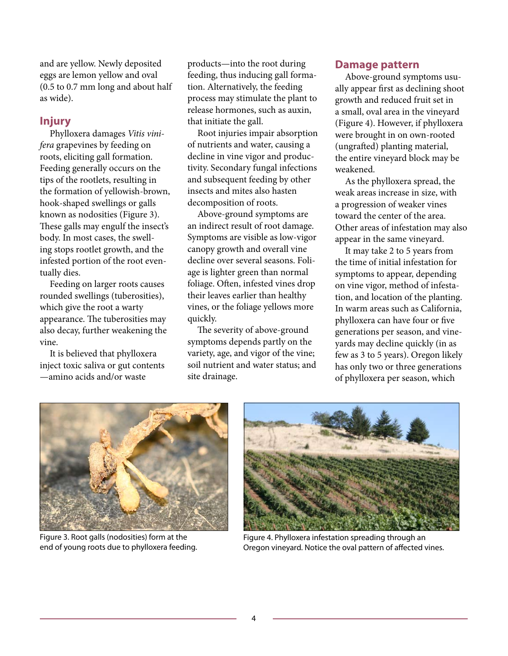and are yellow. Newly deposited eggs are lemon yellow and oval (0.5 to 0.7 mm long and about half as wide).

### **Injury**

Phylloxera damages *Vitis vinifera* grapevines by feeding on roots, eliciting gall formation. Feeding generally occurs on the tips of the rootlets, resulting in the formation of yellowish-brown, hook-shaped swellings or galls known as nodosities (Figure 3). These galls may engulf the insect's body. In most cases, the swelling stops rootlet growth, and the infested portion of the root eventually dies.

Feeding on larger roots causes rounded swellings (tuberosities), which give the root a warty appearance. The tuberosities may also decay, further weakening the vine.

It is believed that phylloxera inject toxic saliva or gut contents —amino acids and/or waste

products—into the root during feeding, thus inducing gall formation. Alternatively, the feeding process may stimulate the plant to release hormones, such as auxin, that initiate the gall.

Root injuries impair absorption of nutrients and water, causing a decline in vine vigor and productivity. Secondary fungal infections and subsequent feeding by other insects and mites also hasten decomposition of roots.

Above-ground symptoms are an indirect result of root damage. Symptoms are visible as low-vigor canopy growth and overall vine decline over several seasons. Foliage is lighter green than normal foliage. Often, infested vines drop their leaves earlier than healthy vines, or the foliage yellows more quickly.

The severity of above-ground symptoms depends partly on the variety, age, and vigor of the vine; soil nutrient and water status; and site drainage.

### **Damage pattern**

Above-ground symptoms usually appear first as declining shoot growth and reduced fruit set in a small, oval area in the vineyard (Figure 4). However, if phylloxera were brought in on own-rooted (ungrafted) planting material, the entire vineyard block may be weakened.

As the phylloxera spread, the weak areas increase in size, with a progression of weaker vines toward the center of the area. Other areas of infestation may also appear in the same vineyard.

It may take 2 to 5 years from the time of initial infestation for symptoms to appear, depending on vine vigor, method of infestation, and location of the planting. In warm areas such as California, phylloxera can have four or five generations per season, and vineyards may decline quickly (in as few as 3 to 5 years). Oregon likely has only two or three generations of phylloxera per season, which



Figure 3. Root galls (nodosities) form at the end of young roots due to phylloxera feeding.



Figure 4. Phylloxera infestation spreading through an Oregon vineyard. Notice the oval pattern of affected vines.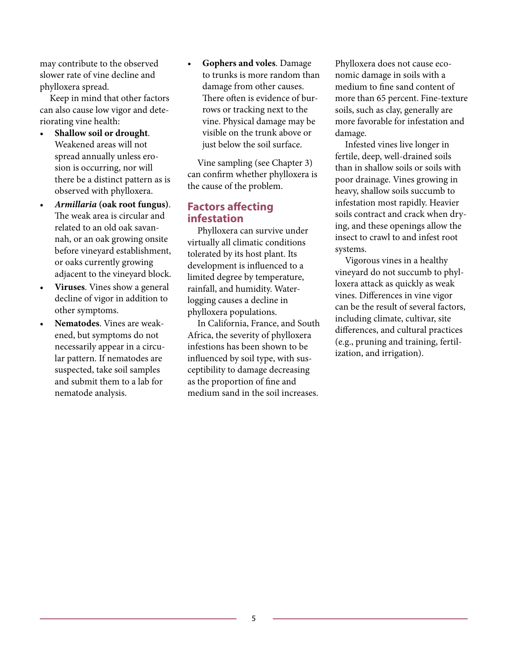may contribute to the observed slower rate of vine decline and phylloxera spread.

Keep in mind that other factors can also cause low vigor and deteriorating vine health:

- Shallow soil or drought. Weakened areas will not spread annually unless erosion is occurring, nor will there be a distinct pattern as is observed with phylloxera.
- • *Armillaria* **(oak root fungus)**. The weak area is circular and related to an old oak savannah, or an oak growing onsite before vineyard establishment, or oaks currently growing adjacent to the vineyard block.
- Viruses. Vines show a general decline of vigor in addition to other symptoms.
- Nematodes. Vines are weakened, but symptoms do not necessarily appear in a circular pattern. If nematodes are suspected, take soil samples and submit them to a lab for nematode analysis.

**Gophers and voles**. Damage to trunks is more random than damage from other causes. There often is evidence of burrows or tracking next to the vine. Physical damage may be visible on the trunk above or just below the soil surface.

Vine sampling (see Chapter 3) can confirm whether phylloxera is the cause of the problem.

### **Factors affecting infestation**

Phylloxera can survive under virtually all climatic conditions tolerated by its host plant. Its development is influenced to a limited degree by temperature, rainfall, and humidity. Waterlogging causes a decline in phylloxera populations.

In California, France, and South Africa, the severity of phylloxera infestions has been shown to be influenced by soil type, with susceptibility to damage decreasing as the proportion of fine and medium sand in the soil increases.

Phylloxera does not cause economic damage in soils with a medium to fine sand content of more than 65 percent. Fine-texture soils, such as clay, generally are more favorable for infestation and damage.

Infested vines live longer in fertile, deep, well-drained soils than in shallow soils or soils with poor drainage. Vines growing in heavy, shallow soils succumb to infestation most rapidly. Heavier soils contract and crack when drying, and these openings allow the insect to crawl to and infest root systems.

Vigorous vines in a healthy vineyard do not succumb to phylloxera attack as quickly as weak vines. Differences in vine vigor can be the result of several factors, including climate, cultivar, site differences, and cultural practices (e.g., pruning and training, fertilization, and irrigation).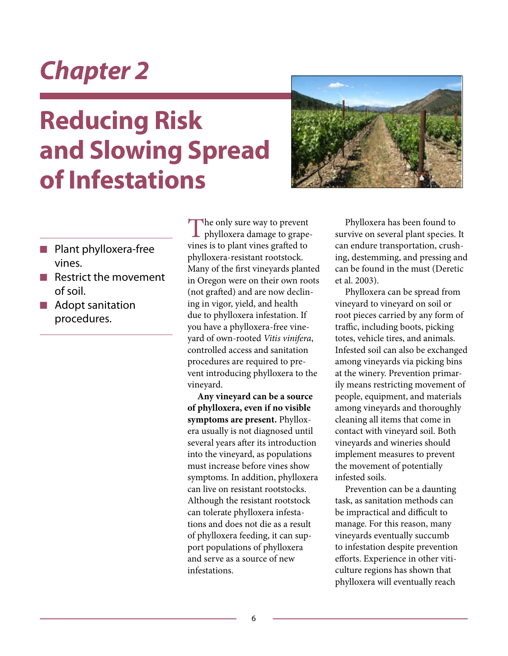# **Reducing Risk and Slowing Spread of Infestations**



- **n** Plant phylloxera-free vines.
- $\blacksquare$  Restrict the movement of soil.
- $\blacksquare$  Adopt sanitation procedures.

The only sure way to prevent phylloxera damage to grapevines is to plant vines grafted to phylloxera-resistant rootstock. Many of the first vineyards planted in Oregon were on their own roots (not grafted) and are now declining in vigor, yield, and health due to phylloxera infestation. If you have a phylloxera-free vineyard of own-rooted *Vitis vinifera*, controlled access and sanitation procedures are required to prevent introducing phylloxera to the vineyard.

**Any vineyard can be a source of phylloxera, even if no visible symptoms are present.** Phylloxera usually is not diagnosed until several years after its introduction into the vineyard, as populations must increase before vines show symptoms. In addition, phylloxera can live on resistant rootstocks. Although the resistant rootstock can tolerate phylloxera infestations and does not die as a result of phylloxera feeding, it can support populations of phylloxera and serve as a source of new infestations.

Phylloxera has been found to survive on several plant species. It can endure transportation, crushing, destemming, and pressing and can be found in the must (Deretic et al. 2003).

Phylloxera can be spread from vineyard to vineyard on soil or root pieces carried by any form of traffic, including boots, picking totes, vehicle tires, and animals. Infested soil can also be exchanged among vineyards via picking bins at the winery. Prevention primarily means restricting movement of people, equipment, and materials among vineyards and thoroughly cleaning all items that come in contact with vineyard soil. Both vineyards and wineries should implement measures to prevent the movement of potentially infested soils.

Prevention can be a daunting task, as sanitation methods can be impractical and difficult to manage. For this reason, many vineyards eventually succumb to infestation despite prevention efforts. Experience in other viticulture regions has shown that phylloxera will eventually reach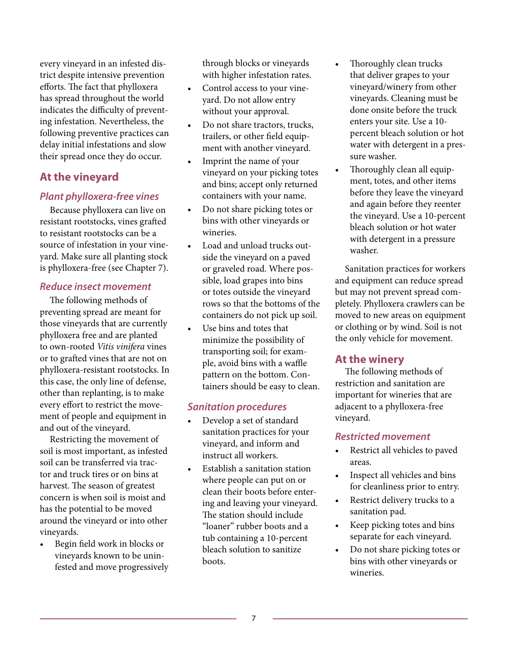every vineyard in an infested district despite intensive prevention efforts. The fact that phylloxera has spread throughout the world indicates the difficulty of preventing infestation. Nevertheless, the following preventive practices can delay initial infestations and slow their spread once they do occur.

### **At the vineyard**

### *Plant phylloxera-free vines*

Because phylloxera can live on resistant rootstocks, vines grafted to resistant rootstocks can be a source of infestation in your vineyard. Make sure all planting stock is phylloxera-free (see Chapter 7).

#### *Reduce insect movement*

The following methods of preventing spread are meant for those vineyards that are currently phylloxera free and are planted to own-rooted *Vitis vinifera* vines or to grafted vines that are not on phylloxera-resistant rootstocks. In this case, the only line of defense, other than replanting, is to make every effort to restrict the movement of people and equipment in and out of the vineyard.

Restricting the movement of soil is most important, as infested soil can be transferred via tractor and truck tires or on bins at harvest. The season of greatest concern is when soil is moist and has the potential to be moved around the vineyard or into other vineyards.

Begin field work in blocks or vineyards known to be uninfested and move progressively

through blocks or vineyards with higher infestation rates.

- Control access to your vineyard. Do not allow entry without your approval.
- Do not share tractors, trucks, trailers, or other field equipment with another vineyard.
- Imprint the name of your vineyard on your picking totes and bins; accept only returned containers with your name.
- • Do not share picking totes or bins with other vineyards or wineries.
- Load and unload trucks outside the vineyard on a paved or graveled road. Where possible, load grapes into bins or totes outside the vineyard rows so that the bottoms of the containers do not pick up soil.
- • Use bins and totes that minimize the possibility of transporting soil; for example, avoid bins with a waffle pattern on the bottom. Containers should be easy to clean.

### *Sanitation procedures*

- Develop a set of standard sanitation practices for your vineyard, and inform and instruct all workers.
- Establish a sanitation station where people can put on or clean their boots before entering and leaving your vineyard. The station should include "loaner" rubber boots and a tub containing a 10-percent bleach solution to sanitize boots.
- Thoroughly clean trucks that deliver grapes to your vineyard/winery from other vineyards. Cleaning must be done onsite before the truck enters your site. Use a 10 percent bleach solution or hot water with detergent in a pressure washer.
- Thoroughly clean all equipment, totes, and other items before they leave the vineyard and again before they reenter the vineyard. Use a 10-percent bleach solution or hot water with detergent in a pressure washer.

Sanitation practices for workers and equipment can reduce spread but may not prevent spread completely. Phylloxera crawlers can be moved to new areas on equipment or clothing or by wind. Soil is not the only vehicle for movement.

### **At the winery**

The following methods of restriction and sanitation are important for wineries that are adjacent to a phylloxera-free vineyard.

### *Restricted movement*

- • Restrict all vehicles to paved areas.
- Inspect all vehicles and bins for cleanliness prior to entry.
- Restrict delivery trucks to a sanitation pad.
- • Keep picking totes and bins separate for each vineyard.
- Do not share picking totes or bins with other vineyards or wineries.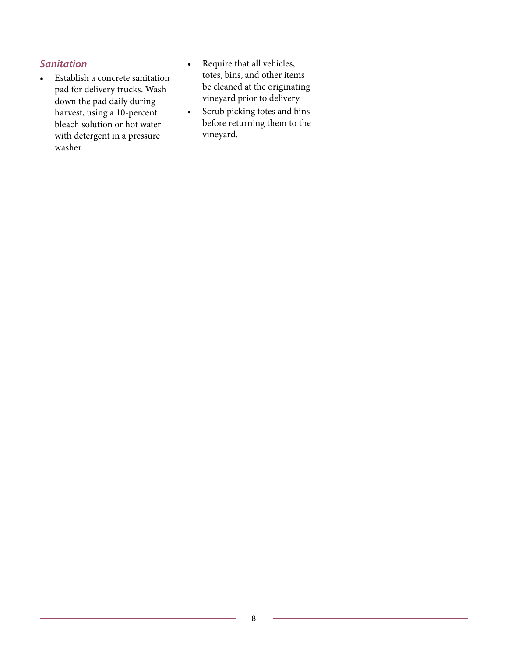### *Sanitation*

- • Establish a concrete sanitation pad for delivery trucks. Wash down the pad daily during harvest, using a 10-percent bleach solution or hot water with detergent in a pressure washer.
- • Require that all vehicles, totes, bins, and other items be cleaned at the originating vineyard prior to delivery.
- • Scrub picking totes and bins before returning them to the vineyard.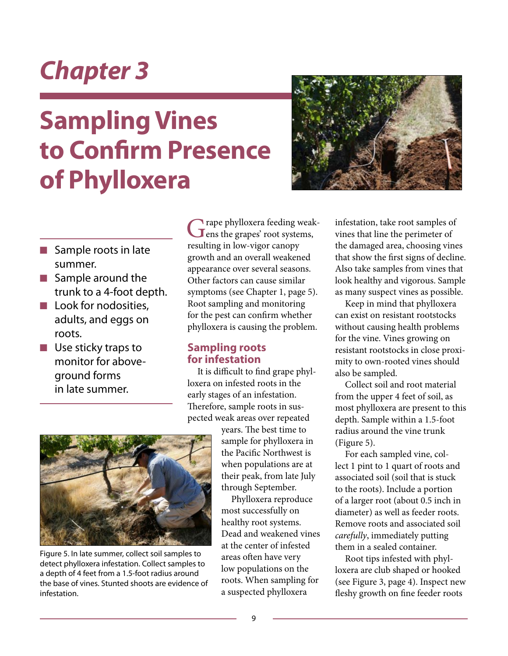# **Sampling Vines to Confirm Presence of Phylloxera**



- $\blacksquare$  Sample roots in late summer.
- $\blacksquare$  Sample around the trunk to a 4-foot depth.
- $\blacksquare$  Look for nodosities, adults, and eggs on roots.
- $\blacksquare$  Use sticky traps to monitor for aboveground forms in late summer.

Grape phylloxera feeding weak-<br>
ens the grapes' root systems, resulting in low-vigor canopy growth and an overall weakened appearance over several seasons. Other factors can cause similar symptoms (see Chapter 1, page 5). Root sampling and monitoring for the pest can confirm whether phylloxera is causing the problem.

### **Sampling roots for infestation**

It is difficult to find grape phylloxera on infested roots in the early stages of an infestation. Therefore, sample roots in suspected weak areas over repeated

> years. The best time to sample for phylloxera in the Pacific Northwest is when populations are at their peak, from late July through September.

Phylloxera reproduce most successfully on healthy root systems. Dead and weakened vines at the center of infested areas often have very low populations on the roots. When sampling for a suspected phylloxera

infestation, take root samples of vines that line the perimeter of the damaged area, choosing vines that show the first signs of decline. Also take samples from vines that look healthy and vigorous. Sample as many suspect vines as possible.

Keep in mind that phylloxera can exist on resistant rootstocks without causing health problems for the vine. Vines growing on resistant rootstocks in close proximity to own-rooted vines should also be sampled.

Collect soil and root material from the upper 4 feet of soil, as most phylloxera are present to this depth. Sample within a 1.5-foot radius around the vine trunk (Figure 5).

For each sampled vine, collect 1 pint to 1 quart of roots and associated soil (soil that is stuck to the roots). Include a portion of a larger root (about 0.5 inch in diameter) as well as feeder roots. Remove roots and associated soil *carefully*, immediately putting them in a sealed container.

Root tips infested with phylloxera are club shaped or hooked (see Figure 3, page 4). Inspect new fleshy growth on fine feeder roots



Figure 5. In late summer, collect soil samples to detect phylloxera infestation. Collect samples to a depth of 4 feet from a 1.5-foot radius around the base of vines. Stunted shoots are evidence of infestation.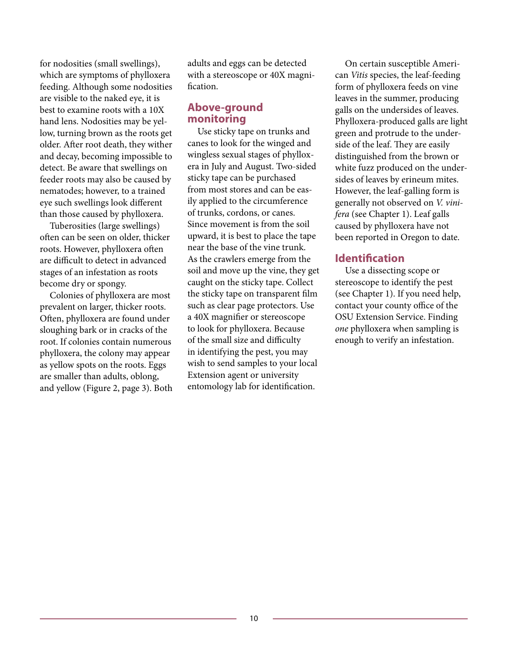for nodosities (small swellings), which are symptoms of phylloxera feeding. Although some nodosities are visible to the naked eye, it is best to examine roots with a 10X hand lens. Nodosities may be yellow, turning brown as the roots get older. After root death, they wither and decay, becoming impossible to detect. Be aware that swellings on feeder roots may also be caused by nematodes; however, to a trained eye such swellings look different than those caused by phylloxera.

Tuberosities (large swellings) often can be seen on older, thicker roots. However, phylloxera often are difficult to detect in advanced stages of an infestation as roots become dry or spongy.

Colonies of phylloxera are most prevalent on larger, thicker roots. Often, phylloxera are found under sloughing bark or in cracks of the root. If colonies contain numerous phylloxera, the colony may appear as yellow spots on the roots. Eggs are smaller than adults, oblong, and yellow (Figure 2, page 3). Both adults and eggs can be detected with a stereoscope or 40X magnification.

### **Above-ground monitoring**

Use sticky tape on trunks and canes to look for the winged and wingless sexual stages of phylloxera in July and August. Two-sided sticky tape can be purchased from most stores and can be easily applied to the circumference of trunks, cordons, or canes. Since movement is from the soil upward, it is best to place the tape near the base of the vine trunk. As the crawlers emerge from the soil and move up the vine, they get caught on the sticky tape. Collect the sticky tape on transparent film such as clear page protectors. Use a 40X magnifier or stereoscope to look for phylloxera. Because of the small size and difficulty in identifying the pest, you may wish to send samples to your local Extension agent or university entomology lab for identification.

On certain susceptible American *Vitis* species, the leaf-feeding form of phylloxera feeds on vine leaves in the summer, producing galls on the undersides of leaves. Phylloxera-produced galls are light green and protrude to the underside of the leaf. They are easily distinguished from the brown or white fuzz produced on the undersides of leaves by erineum mites. However, the leaf-galling form is generally not observed on *V. vinifera* (see Chapter 1). Leaf galls caused by phylloxera have not been reported in Oregon to date.

### **Identification**

Use a dissecting scope or stereoscope to identify the pest (see Chapter 1). If you need help, contact your county office of the OSU Extension Service. Finding *one* phylloxera when sampling is enough to verify an infestation.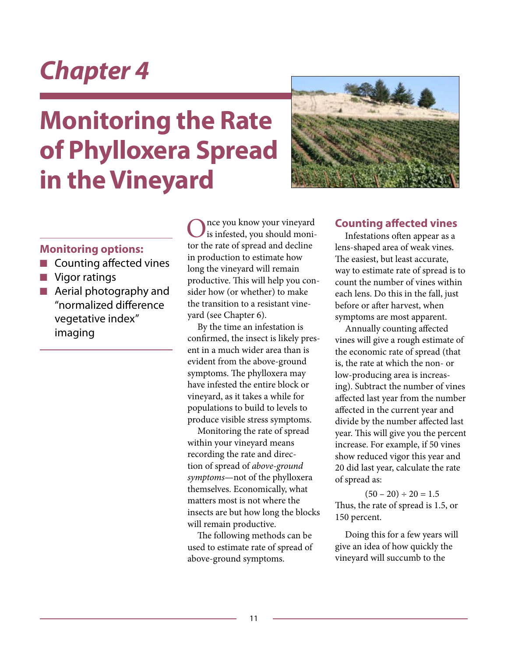# **Monitoring the Rate of Phylloxera Spread in the Vineyard**



### **Monitoring options:**

- $\blacksquare$  Counting affected vines
- $\blacksquare$  Vigor ratings
- $\blacksquare$  Aerial photography and "normalized difference vegetative index" imaging

nce you know your vineyard is infested, you should monitor the rate of spread and decline in production to estimate how long the vineyard will remain productive. This will help you consider how (or whether) to make the transition to a resistant vineyard (see Chapter 6).

By the time an infestation is confirmed, the insect is likely present in a much wider area than is evident from the above-ground symptoms. The phylloxera may have infested the entire block or vineyard, as it takes a while for populations to build to levels to produce visible stress symptoms.

Monitoring the rate of spread within your vineyard means recording the rate and direction of spread of *above-ground symptoms*—not of the phylloxera themselves. Economically, what matters most is not where the insects are but how long the blocks will remain productive.

The following methods can be used to estimate rate of spread of above-ground symptoms.

### **Counting affected vines**

Infestations often appear as a lens-shaped area of weak vines. The easiest, but least accurate, way to estimate rate of spread is to count the number of vines within each lens. Do this in the fall, just before or after harvest, when symptoms are most apparent.

Annually counting affected vines will give a rough estimate of the economic rate of spread (that is, the rate at which the non- or low-producing area is increasing). Subtract the number of vines affected last year from the number affected in the current year and divide by the number affected last year. This will give you the percent increase. For example, if 50 vines show reduced vigor this year and 20 did last year, calculate the rate of spread as:

 $(50 - 20) \div 20 = 1.5$ Thus, the rate of spread is 1.5, or 150 percent.

Doing this for a few years will give an idea of how quickly the vineyard will succumb to the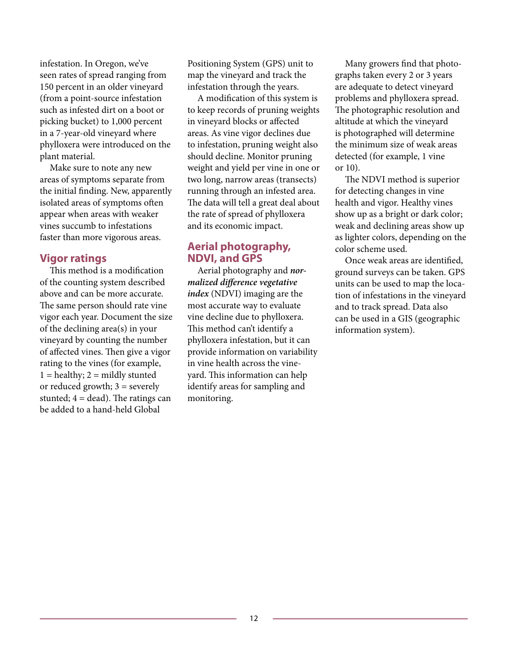infestation. In Oregon, we've seen rates of spread ranging from 150 percent in an older vineyard (from a point-source infestation such as infested dirt on a boot or picking bucket) to 1,000 percent in a 7-year-old vineyard where phylloxera were introduced on the plant material.

Make sure to note any new areas of symptoms separate from the initial finding. New, apparently isolated areas of symptoms often appear when areas with weaker vines succumb to infestations faster than more vigorous areas.

### **Vigor ratings**

This method is a modification of the counting system described above and can be more accurate. The same person should rate vine vigor each year. Document the size of the declining area(s) in your vineyard by counting the number of affected vines. Then give a vigor rating to the vines (for example,  $1 =$  healthy;  $2 =$  mildly stunted or reduced growth;  $3 =$  severely stunted;  $4 = dead$ ). The ratings can be added to a hand-held Global

Positioning System (GPS) unit to map the vineyard and track the infestation through the years.

A modification of this system is to keep records of pruning weights in vineyard blocks or affected areas. As vine vigor declines due to infestation, pruning weight also should decline. Monitor pruning weight and yield per vine in one or two long, narrow areas (transects) running through an infested area. The data will tell a great deal about the rate of spread of phylloxera and its economic impact.

### **Aerial photography, NDVI, and GPS**

Aerial photography and *normalized difference vegetative index* (NDVI) imaging are the most accurate way to evaluate vine decline due to phylloxera. This method can't identify a phylloxera infestation, but it can provide information on variability in vine health across the vineyard. This information can help identify areas for sampling and monitoring.

Many growers find that photographs taken every 2 or 3 years are adequate to detect vineyard problems and phylloxera spread. The photographic resolution and altitude at which the vineyard is photographed will determine the minimum size of weak areas detected (for example, 1 vine or 10).

The NDVI method is superior for detecting changes in vine health and vigor. Healthy vines show up as a bright or dark color; weak and declining areas show up as lighter colors, depending on the color scheme used.

Once weak areas are identified, ground surveys can be taken. GPS units can be used to map the location of infestations in the vineyard and to track spread. Data also can be used in a GIS (geographic information system).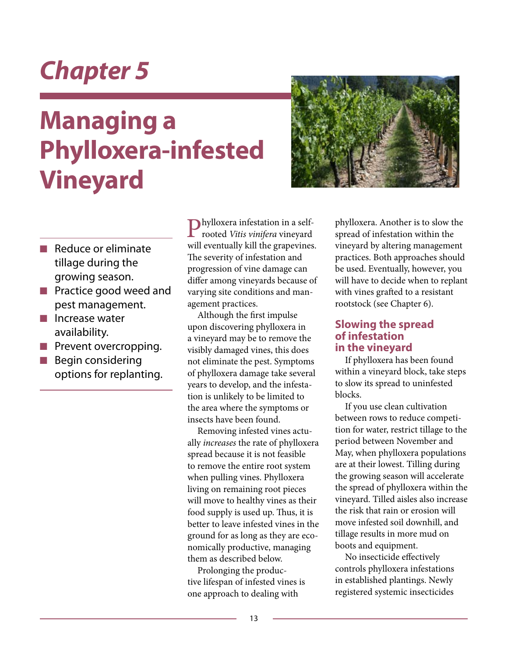# **Managing a Phylloxera-infested Vineyard**



- $\blacksquare$  Reduce or eliminate tillage during the growing season.
- $\blacksquare$  Practice good weed and pest management.
- $\blacksquare$  Increase water availability.
- $\blacksquare$  Prevent overcropping.
- Begin considering options for replanting.

Phylloxera infestation in a selfrooted *Vitis vinifera* vineyard will eventually kill the grapevines. The severity of infestation and progression of vine damage can differ among vineyards because of varying site conditions and management practices.

Although the first impulse upon discovering phylloxera in a vineyard may be to remove the visibly damaged vines, this does not eliminate the pest. Symptoms of phylloxera damage take several years to develop, and the infestation is unlikely to be limited to the area where the symptoms or insects have been found.

Removing infested vines actually *increases* the rate of phylloxera spread because it is not feasible to remove the entire root system when pulling vines. Phylloxera living on remaining root pieces will move to healthy vines as their food supply is used up. Thus, it is better to leave infested vines in the ground for as long as they are economically productive, managing them as described below.

Prolonging the productive lifespan of infested vines is one approach to dealing with

phylloxera. Another is to slow the spread of infestation within the vineyard by altering management practices. Both approaches should be used. Eventually, however, you will have to decide when to replant with vines grafted to a resistant rootstock (see Chapter 6).

### **Slowing the spread of infestation in the vineyard**

If phylloxera has been found within a vineyard block, take steps to slow its spread to uninfested blocks.

If you use clean cultivation between rows to reduce competition for water, restrict tillage to the period between November and May, when phylloxera populations are at their lowest. Tilling during the growing season will accelerate the spread of phylloxera within the vineyard. Tilled aisles also increase the risk that rain or erosion will move infested soil downhill, and tillage results in more mud on boots and equipment.

No insecticide effectively controls phylloxera infestations in established plantings. Newly registered systemic insecticides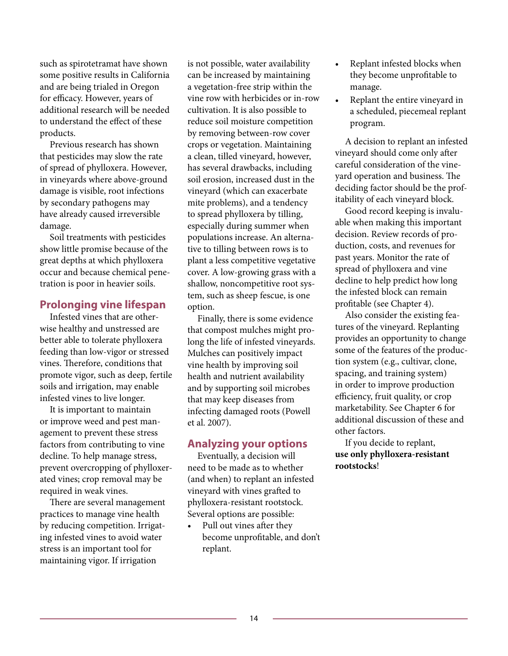such as spirotetramat have shown some positive results in California and are being trialed in Oregon for efficacy. However, years of additional research will be needed to understand the effect of these products.

Previous research has shown that pesticides may slow the rate of spread of phylloxera. However, in vineyards where above-ground damage is visible, root infections by secondary pathogens may have already caused irreversible damage.

Soil treatments with pesticides show little promise because of the great depths at which phylloxera occur and because chemical penetration is poor in heavier soils.

### **Prolonging vine lifespan**

Infested vines that are otherwise healthy and unstressed are better able to tolerate phylloxera feeding than low-vigor or stressed vines. Therefore, conditions that promote vigor, such as deep, fertile soils and irrigation, may enable infested vines to live longer.

It is important to maintain or improve weed and pest management to prevent these stress factors from contributing to vine decline. To help manage stress, prevent overcropping of phylloxerated vines; crop removal may be required in weak vines.

There are several management practices to manage vine health by reducing competition. Irrigating infested vines to avoid water stress is an important tool for maintaining vigor. If irrigation

is not possible, water availability can be increased by maintaining a vegetation-free strip within the vine row with herbicides or in-row cultivation. It is also possible to reduce soil moisture competition by removing between-row cover crops or vegetation. Maintaining a clean, tilled vineyard, however, has several drawbacks, including soil erosion, increased dust in the vineyard (which can exacerbate mite problems), and a tendency to spread phylloxera by tilling, especially during summer when populations increase. An alternative to tilling between rows is to plant a less competitive vegetative cover. A low-growing grass with a shallow, noncompetitive root system, such as sheep fescue, is one option.

Finally, there is some evidence that compost mulches might prolong the life of infested vineyards. Mulches can positively impact vine health by improving soil health and nutrient availability and by supporting soil microbes that may keep diseases from infecting damaged roots (Powell et al. 2007).

### **Analyzing your options**

Eventually, a decision will need to be made as to whether (and when) to replant an infested vineyard with vines grafted to phylloxera-resistant rootstock. Several options are possible:

• Pull out vines after they become unprofitable, and don't replant.

- Replant infested blocks when they become unprofitable to manage.
- • Replant the entire vineyard in a scheduled, piecemeal replant program.

A decision to replant an infested vineyard should come only after careful consideration of the vineyard operation and business. The deciding factor should be the profitability of each vineyard block.

Good record keeping is invaluable when making this important decision. Review records of production, costs, and revenues for past years. Monitor the rate of spread of phylloxera and vine decline to help predict how long the infested block can remain profitable (see Chapter 4).

Also consider the existing features of the vineyard. Replanting provides an opportunity to change some of the features of the production system (e.g., cultivar, clone, spacing, and training system) in order to improve production efficiency, fruit quality, or crop marketability. See Chapter 6 for additional discussion of these and other factors.

If you decide to replant, **use only phylloxera-resistant rootstocks**!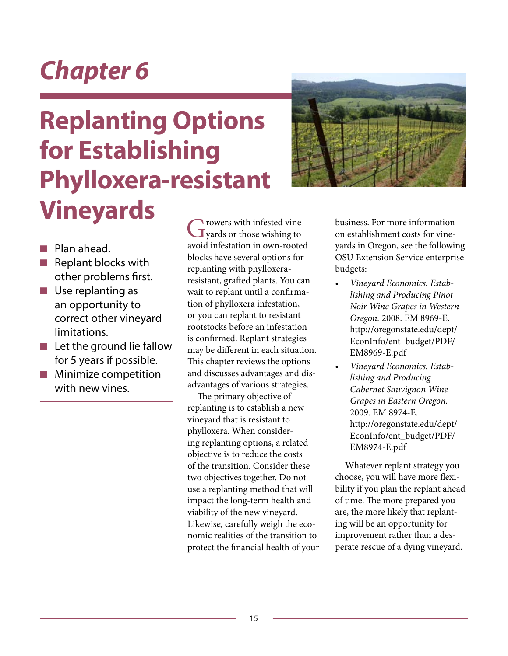# **Replanting Options for Establishing Phylloxera-resistant Vineyards**



- **n** Plan ahead.
- $\blacksquare$  Replant blocks with other problems first.
- $\blacksquare$  Use replanting as an opportunity to correct other vineyard limitations.
- $\blacksquare$  Let the ground lie fallow for 5 years if possible.
- $\blacksquare$  Minimize competition with new vines.

Growers with infested vine-<br>
yards or those wishing to avoid infestation in own-rooted blocks have several options for replanting with phylloxeraresistant, grafted plants. You can wait to replant until a confirmation of phylloxera infestation, or you can replant to resistant rootstocks before an infestation is confirmed. Replant strategies may be different in each situation. This chapter reviews the options and discusses advantages and disadvantages of various strategies.

The primary objective of replanting is to establish a new vineyard that is resistant to phylloxera. When considering replanting options, a related objective is to reduce the costs of the transition. Consider these two objectives together. Do not use a replanting method that will impact the long-term health and viability of the new vineyard. Likewise, carefully weigh the economic realities of the transition to protect the financial health of your business. For more information on establishment costs for vineyards in Oregon, see the following OSU Extension Service enterprise budgets:

- *• Vineyard Economics: Establishing and Producing Pinot Noir Wine Grapes in Western Oregon.* 2008. EM 8969-E. http://oregonstate.edu/dept/ EconInfo/ent\_budget/PDF/ EM8969-E.pdf
- *• Vineyard Economics: Establishing and Producing Cabernet Sauvignon Wine Grapes in Eastern Oregon.* 2009. EM 8974-E. http://oregonstate.edu/dept/ EconInfo/ent\_budget/PDF/ EM8974-E.pdf

Whatever replant strategy you choose, you will have more flexibility if you plan the replant ahead of time. The more prepared you are, the more likely that replanting will be an opportunity for improvement rather than a desperate rescue of a dying vineyard.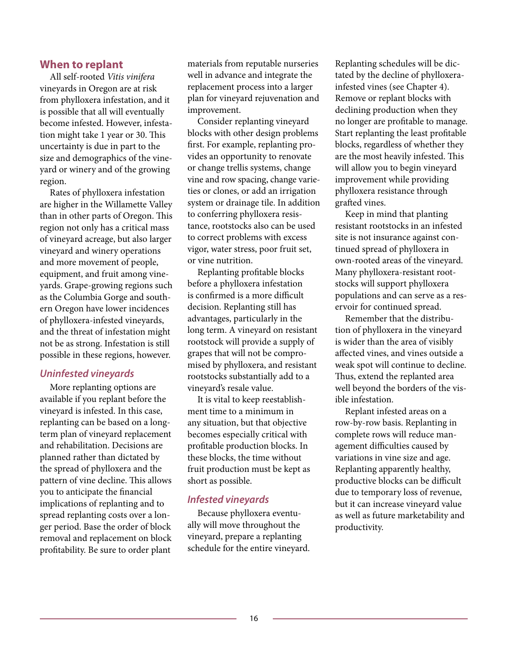#### **When to replant**

All self-rooted *Vitis vinifera* vineyards in Oregon are at risk from phylloxera infestation, and it is possible that all will eventually become infested. However, infestation might take 1 year or 30. This uncertainty is due in part to the size and demographics of the vineyard or winery and of the growing region.

Rates of phylloxera infestation are higher in the Willamette Valley than in other parts of Oregon. This region not only has a critical mass of vineyard acreage, but also larger vineyard and winery operations and more movement of people, equipment, and fruit among vineyards. Grape-growing regions such as the Columbia Gorge and southern Oregon have lower incidences of phylloxera-infested vineyards, and the threat of infestation might not be as strong. Infestation is still possible in these regions, however.

#### *Uninfested vineyards*

More replanting options are available if you replant before the vineyard is infested. In this case, replanting can be based on a longterm plan of vineyard replacement and rehabilitation. Decisions are planned rather than dictated by the spread of phylloxera and the pattern of vine decline. This allows you to anticipate the financial implications of replanting and to spread replanting costs over a longer period. Base the order of block removal and replacement on block profitability. Be sure to order plant

materials from reputable nurseries well in advance and integrate the replacement process into a larger plan for vineyard rejuvenation and improvement.

Consider replanting vineyard blocks with other design problems first. For example, replanting provides an opportunity to renovate or change trellis systems, change vine and row spacing, change varieties or clones, or add an irrigation system or drainage tile. In addition to conferring phylloxera resistance, rootstocks also can be used to correct problems with excess vigor, water stress, poor fruit set, or vine nutrition.

Replanting profitable blocks before a phylloxera infestation is confirmed is a more difficult decision. Replanting still has advantages, particularly in the long term. A vineyard on resistant rootstock will provide a supply of grapes that will not be compromised by phylloxera, and resistant rootstocks substantially add to a vineyard's resale value.

It is vital to keep reestablishment time to a minimum in any situation, but that objective becomes especially critical with profitable production blocks. In these blocks, the time without fruit production must be kept as short as possible.

#### *Infested vineyards*

Because phylloxera eventually will move throughout the vineyard, prepare a replanting schedule for the entire vineyard. Replanting schedules will be dictated by the decline of phylloxerainfested vines (see Chapter 4). Remove or replant blocks with declining production when they no longer are profitable to manage. Start replanting the least profitable blocks, regardless of whether they are the most heavily infested. This will allow you to begin vineyard improvement while providing phylloxera resistance through grafted vines.

Keep in mind that planting resistant rootstocks in an infested site is not insurance against continued spread of phylloxera in own-rooted areas of the vineyard. Many phylloxera-resistant rootstocks will support phylloxera populations and can serve as a reservoir for continued spread.

Remember that the distribution of phylloxera in the vineyard is wider than the area of visibly affected vines, and vines outside a weak spot will continue to decline. Thus, extend the replanted area well beyond the borders of the visible infestation.

Replant infested areas on a row-by-row basis. Replanting in complete rows will reduce management difficulties caused by variations in vine size and age. Replanting apparently healthy, productive blocks can be difficult due to temporary loss of revenue, but it can increase vineyard value as well as future marketability and productivity.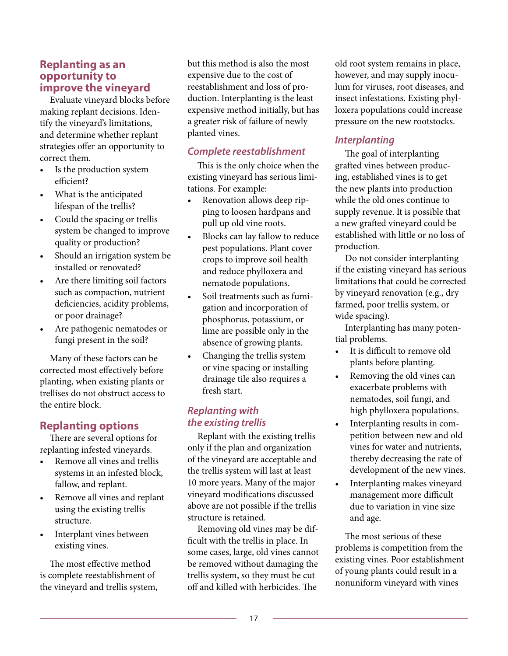### **Replanting as an opportunity to improve the vineyard**

Evaluate vineyard blocks before making replant decisions. Identify the vineyard's limitations, and determine whether replant strategies offer an opportunity to correct them.

- Is the production system efficient?
- What is the anticipated lifespan of the trellis?
- Could the spacing or trellis system be changed to improve quality or production?
- Should an irrigation system be installed or renovated?
- Are there limiting soil factors such as compaction, nutrient deficiencies, acidity problems, or poor drainage?
- Are pathogenic nematodes or fungi present in the soil?

Many of these factors can be corrected most effectively before planting, when existing plants or trellises do not obstruct access to the entire block.

### **Replanting options**

There are several options for replanting infested vineyards.

- Remove all vines and trellis systems in an infested block, fallow, and replant.
- Remove all vines and replant using the existing trellis structure.
- Interplant vines between existing vines.

The most effective method is complete reestablishment of the vineyard and trellis system, but this method is also the most expensive due to the cost of reestablishment and loss of production. Interplanting is the least expensive method initially, but has a greater risk of failure of newly planted vines.

### *Complete reestablishment*

This is the only choice when the existing vineyard has serious limitations. For example:

- Renovation allows deep ripping to loosen hardpans and pull up old vine roots.
- Blocks can lay fallow to reduce pest populations. Plant cover crops to improve soil health and reduce phylloxera and nematode populations.
- Soil treatments such as fumigation and incorporation of phosphorus, potassium, or lime are possible only in the absence of growing plants.
- Changing the trellis system or vine spacing or installing drainage tile also requires a fresh start.

### *Replanting with the existing trellis*

Replant with the existing trellis only if the plan and organization of the vineyard are acceptable and the trellis system will last at least 10 more years. Many of the major vineyard modifications discussed above are not possible if the trellis structure is retained.

Removing old vines may be difficult with the trellis in place. In some cases, large, old vines cannot be removed without damaging the trellis system, so they must be cut off and killed with herbicides. The

old root system remains in place, however, and may supply inoculum for viruses, root diseases, and insect infestations. Existing phylloxera populations could increase pressure on the new rootstocks.

### *Interplanting*

The goal of interplanting grafted vines between producing, established vines is to get the new plants into production while the old ones continue to supply revenue. It is possible that a new grafted vineyard could be established with little or no loss of production.

Do not consider interplanting if the existing vineyard has serious limitations that could be corrected by vineyard renovation (e.g., dry farmed, poor trellis system, or wide spacing).

Interplanting has many potential problems.

- It is difficult to remove old plants before planting.
- Removing the old vines can exacerbate problems with nematodes, soil fungi, and high phylloxera populations.
- • Interplanting results in competition between new and old vines for water and nutrients, thereby decreasing the rate of development of the new vines.
- • Interplanting makes vineyard management more difficult due to variation in vine size and age.

The most serious of these problems is competition from the existing vines. Poor establishment of young plants could result in a nonuniform vineyard with vines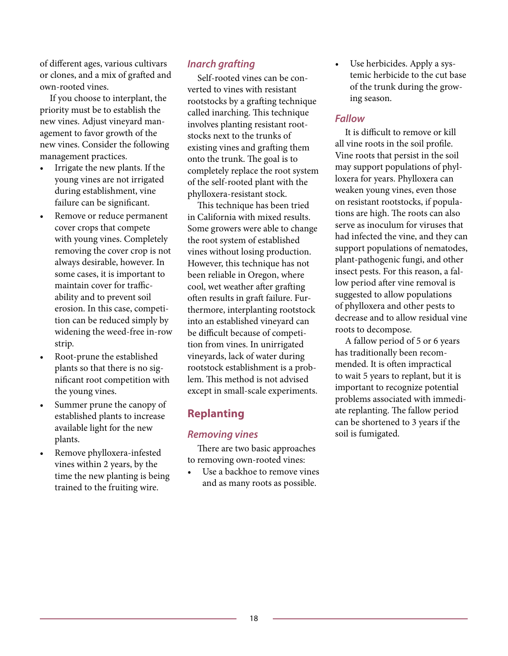of different ages, various cultivars or clones, and a mix of grafted and own-rooted vines.

If you choose to interplant, the priority must be to establish the new vines. Adjust vineyard management to favor growth of the new vines. Consider the following management practices.

- Irrigate the new plants. If the young vines are not irrigated during establishment, vine failure can be significant.
- Remove or reduce permanent cover crops that compete with young vines. Completely removing the cover crop is not always desirable, however. In some cases, it is important to maintain cover for trafficability and to prevent soil erosion. In this case, competition can be reduced simply by widening the weed-free in-row strip.
- Root-prune the established plants so that there is no significant root competition with the young vines.
- Summer prune the canopy of established plants to increase available light for the new plants.
- Remove phylloxera-infested vines within 2 years, by the time the new planting is being trained to the fruiting wire.

### *Inarch grafting*

Self-rooted vines can be converted to vines with resistant rootstocks by a grafting technique called inarching. This technique involves planting resistant rootstocks next to the trunks of existing vines and grafting them onto the trunk. The goal is to completely replace the root system of the self-rooted plant with the phylloxera-resistant stock.

This technique has been tried in California with mixed results. Some growers were able to change the root system of established vines without losing production. However, this technique has not been reliable in Oregon, where cool, wet weather after grafting often results in graft failure. Furthermore, interplanting rootstock into an established vineyard can be difficult because of competition from vines. In unirrigated vineyards, lack of water during rootstock establishment is a problem. This method is not advised except in small-scale experiments.

### **Replanting**

### *Removing vines*

There are two basic approaches to removing own-rooted vines:

Use a backhoe to remove vines and as many roots as possible.

• Use herbicides. Apply a systemic herbicide to the cut base of the trunk during the growing season.

#### *Fallow*

It is difficult to remove or kill all vine roots in the soil profile. Vine roots that persist in the soil may support populations of phylloxera for years. Phylloxera can weaken young vines, even those on resistant rootstocks, if populations are high. The roots can also serve as inoculum for viruses that had infected the vine, and they can support populations of nematodes, plant-pathogenic fungi, and other insect pests. For this reason, a fallow period after vine removal is suggested to allow populations of phylloxera and other pests to decrease and to allow residual vine roots to decompose.

A fallow period of 5 or 6 years has traditionally been recommended. It is often impractical to wait 5 years to replant, but it is important to recognize potential problems associated with immediate replanting. The fallow period can be shortened to 3 years if the soil is fumigated.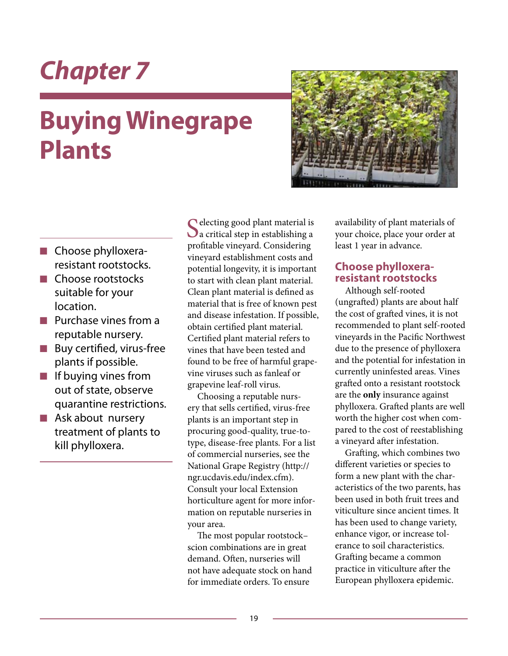# **Buying Winegrape Plants**



- **n** Choose phylloxeraresistant rootstocks.
- n Choose rootstocks suitable for your location.
- $\blacksquare$  Purchase vines from a reputable nursery.
- $\blacksquare$  Buy certified, virus-free plants if possible.
- $\blacksquare$  If buying vines from out of state, observe quarantine restrictions.
- $\blacksquare$  Ask about nursery treatment of plants to kill phylloxera.

C electing good plant material is  $\bigcup$  a critical step in establishing a profitable vineyard. Considering vineyard establishment costs and potential longevity, it is important to start with clean plant material. Clean plant material is defined as material that is free of known pest and disease infestation. If possible, obtain certified plant material. Certified plant material refers to vines that have been tested and found to be free of harmful grapevine viruses such as fanleaf or grapevine leaf-roll virus.

Choosing a reputable nursery that sells certified, virus-free plants is an important step in procuring good-quality, true-totype, disease-free plants. For a list of commercial nurseries, see the National Grape Registry (http:// ngr.ucdavis.edu/index.cfm). Consult your local Extension horticulture agent for more information on reputable nurseries in your area.

The most popular rootstock– scion combinations are in great demand. Often, nurseries will not have adequate stock on hand for immediate orders. To ensure

availability of plant materials of your choice, place your order at least 1 year in advance.

### **Choose phylloxeraresistant rootstocks**

Although self-rooted (ungrafted) plants are about half the cost of grafted vines, it is not recommended to plant self-rooted vineyards in the Pacific Northwest due to the presence of phylloxera and the potential for infestation in currently uninfested areas. Vines grafted onto a resistant rootstock are the **only** insurance against phylloxera. Grafted plants are well worth the higher cost when compared to the cost of reestablishing a vineyard after infestation.

Grafting, which combines two different varieties or species to form a new plant with the characteristics of the two parents, has been used in both fruit trees and viticulture since ancient times. It has been used to change variety, enhance vigor, or increase tolerance to soil characteristics. Grafting became a common practice in viticulture after the European phylloxera epidemic.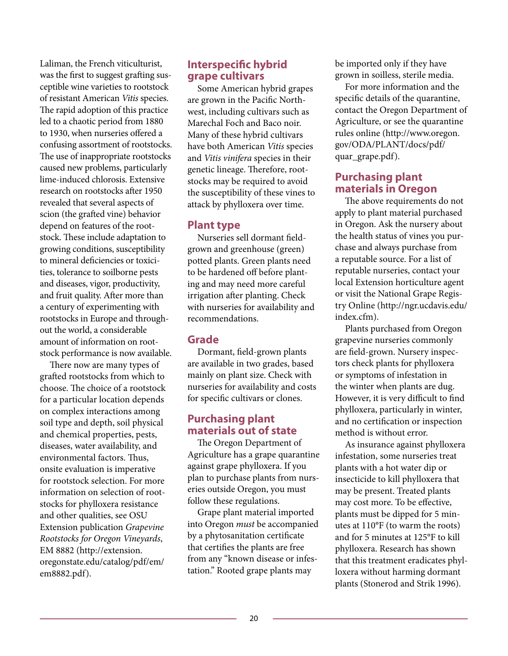Laliman, the French viticulturist, was the first to suggest grafting susceptible wine varieties to rootstock of resistant American *Vitis* species. The rapid adoption of this practice led to a chaotic period from 1880 to 1930, when nurseries offered a confusing assortment of rootstocks. The use of inappropriate rootstocks caused new problems, particularly lime-induced chlorosis. Extensive research on rootstocks after 1950 revealed that several aspects of scion (the grafted vine) behavior depend on features of the rootstock. These include adaptation to growing conditions, susceptibility to mineral deficiencies or toxicities, tolerance to soilborne pests and diseases, vigor, productivity, and fruit quality. After more than a century of experimenting with rootstocks in Europe and throughout the world, a considerable amount of information on rootstock performance is now available.

There now are many types of grafted rootstocks from which to choose. The choice of a rootstock for a particular location depends on complex interactions among soil type and depth, soil physical and chemical properties, pests, diseases, water availability, and environmental factors. Thus, onsite evaluation is imperative for rootstock selection. For more information on selection of rootstocks for phylloxera resistance and other qualities, see OSU Extension publication *Grapevine Rootstocks for Oregon Vineyards*, EM 8882 (http://extension. oregonstate.edu/catalog/pdf/em/ em8882.pdf).

### **Interspecific hybrid grape cultivars**

Some American hybrid grapes are grown in the Pacific Northwest, including cultivars such as Marechal Foch and Baco noir. Many of these hybrid cultivars have both American *Vitis* species and *Vitis vinifera* species in their genetic lineage. Therefore, rootstocks may be required to avoid the susceptibility of these vines to attack by phylloxera over time.

#### **Plant type**

Nurseries sell dormant fieldgrown and greenhouse (green) potted plants. Green plants need to be hardened off before planting and may need more careful irrigation after planting. Check with nurseries for availability and recommendations.

### **Grade**

Dormant, field-grown plants are available in two grades, based mainly on plant size. Check with nurseries for availability and costs for specific cultivars or clones.

### **Purchasing plant materials out of state**

The Oregon Department of Agriculture has a grape quarantine against grape phylloxera. If you plan to purchase plants from nurseries outside Oregon, you must follow these regulations.

Grape plant material imported into Oregon *must* be accompanied by a phytosanitation certificate that certifies the plants are free from any "known disease or infestation." Rooted grape plants may

be imported only if they have grown in soilless, sterile media.

For more information and the specific details of the quarantine, contact the Oregon Department of Agriculture, or see the quarantine rules online (http://www.oregon. gov/ODA/PLANT/docs/pdf/ quar\_grape.pdf).

### **Purchasing plant materials in Oregon**

The above requirements do not apply to plant material purchased in Oregon. Ask the nursery about the health status of vines you purchase and always purchase from a reputable source. For a list of reputable nurseries, contact your local Extension horticulture agent or visit the National Grape Registry Online (http://ngr.ucdavis.edu/ index.cfm).

Plants purchased from Oregon grapevine nurseries commonly are field-grown. Nursery inspectors check plants for phylloxera or symptoms of infestation in the winter when plants are dug. However, it is very difficult to find phylloxera, particularly in winter, and no certification or inspection method is without error.

As insurance against phylloxera infestation, some nurseries treat plants with a hot water dip or insecticide to kill phylloxera that may be present. Treated plants may cost more. To be effective, plants must be dipped for 5 minutes at 110°F (to warm the roots) and for 5 minutes at 125°F to kill phylloxera. Research has shown that this treatment eradicates phylloxera without harming dormant plants (Stonerod and Strik 1996).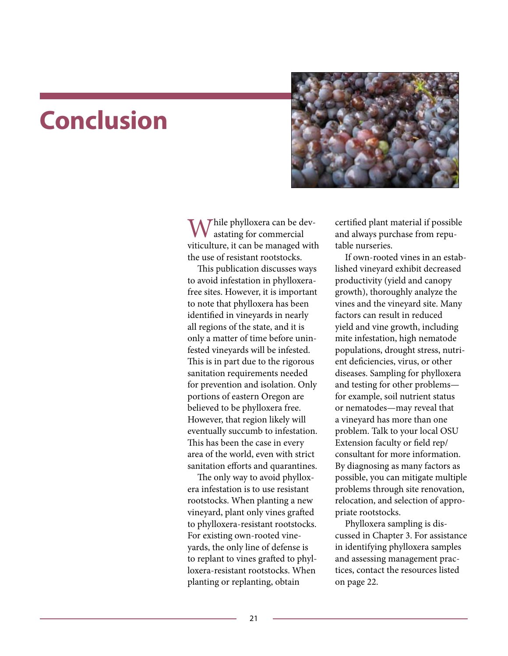### **Conclusion**



Thile phylloxera can be devastating for commercial viticulture, it can be managed with the use of resistant rootstocks.

This publication discusses ways to avoid infestation in phylloxerafree sites. However, it is important to note that phylloxera has been identified in vineyards in nearly all regions of the state, and it is only a matter of time before uninfested vineyards will be infested. This is in part due to the rigorous sanitation requirements needed for prevention and isolation. Only portions of eastern Oregon are believed to be phylloxera free. However, that region likely will eventually succumb to infestation. This has been the case in every area of the world, even with strict sanitation efforts and quarantines.

The only way to avoid phylloxera infestation is to use resistant rootstocks. When planting a new vineyard, plant only vines grafted to phylloxera-resistant rootstocks. For existing own-rooted vineyards, the only line of defense is to replant to vines grafted to phylloxera-resistant rootstocks. When planting or replanting, obtain

certified plant material if possible and always purchase from reputable nurseries.

If own-rooted vines in an established vineyard exhibit decreased productivity (yield and canopy growth), thoroughly analyze the vines and the vineyard site. Many factors can result in reduced yield and vine growth, including mite infestation, high nematode populations, drought stress, nutrient deficiencies, virus, or other diseases. Sampling for phylloxera and testing for other problems for example, soil nutrient status or nematodes—may reveal that a vineyard has more than one problem. Talk to your local OSU Extension faculty or field rep/ consultant for more information. By diagnosing as many factors as possible, you can mitigate multiple problems through site renovation, relocation, and selection of appropriate rootstocks.

Phylloxera sampling is discussed in Chapter 3. For assistance in identifying phylloxera samples and assessing management practices, contact the resources listed on page 22.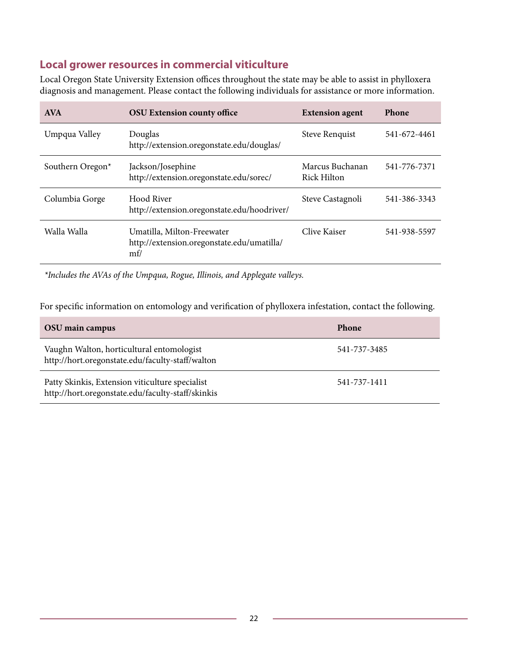### **Local grower resources in commercial viticulture**

Local Oregon State University Extension offices throughout the state may be able to assist in phylloxera diagnosis and management. Please contact the following individuals for assistance or more information.

| <b>AVA</b>       | <b>OSU Extension county office</b>                                              | <b>Extension agent</b>         | Phone        |
|------------------|---------------------------------------------------------------------------------|--------------------------------|--------------|
| Umpqua Valley    | Douglas<br>http://extension.oregonstate.edu/douglas/                            | <b>Steve Renquist</b>          | 541-672-4461 |
| Southern Oregon* | Jackson/Josephine<br>http://extension.oregonstate.edu/sorec/                    | Marcus Buchanan<br>Rick Hilton | 541-776-7371 |
| Columbia Gorge   | Hood River<br>http://extension.oregonstate.edu/hoodriver/                       | Steve Castagnoli               | 541-386-3343 |
| Walla Walla      | Umatilla, Milton-Freewater<br>http://extension.oregonstate.edu/umatilla/<br>m f | Clive Kaiser                   | 541-938-5597 |

*\*Includes the AVAs of the Umpqua, Rogue, Illinois, and Applegate valleys.*

For specific information on entomology and verification of phylloxera infestation, contact the following.

| OSU main campus                                                                                      | <b>Phone</b> |
|------------------------------------------------------------------------------------------------------|--------------|
| Vaughn Walton, horticultural entomologist<br>http://hort.oregonstate.edu/faculty-staff/walton        | 541-737-3485 |
| Patty Skinkis, Extension viticulture specialist<br>http://hort.oregonstate.edu/faculty-staff/skinkis | 541-737-1411 |